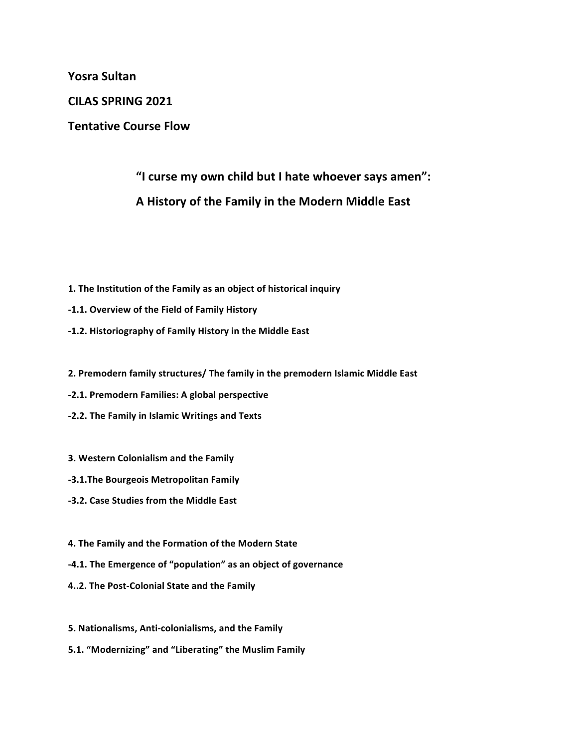**Yosra Sultan**

**CILAS SPRING 2021**

**Tentative Course Flow** 

## "I curse my own child but I hate whoever says amen": **A History of the Family in the Modern Middle East**

- 1. The Institution of the Family as an object of historical inquiry
- **-1.1. Overview of the Field of Family History**
- **-1.2. Historiography of Family History in the Middle East**
- 2. Premodern family structures/ The family in the premodern Islamic Middle East
- **-2.1. Premodern Families: A global perspective**
- **-2.2. The Family in Islamic Writings and Texts**
- **3. Western Colonialism and the Family**
- **-3.1.The Bourgeois Metropolitan Family**
- **-3.2. Case Studies from the Middle East**
- **4. The Family and the Formation of the Modern State**
- **-4.1.** The Emergence of "population" as an object of governance
- **4..2. The Post-Colonial State and the Family**
- **5. Nationalisms, Anti-colonialisms, and the Family**
- 5.1. "Modernizing" and "Liberating" the Muslim Family